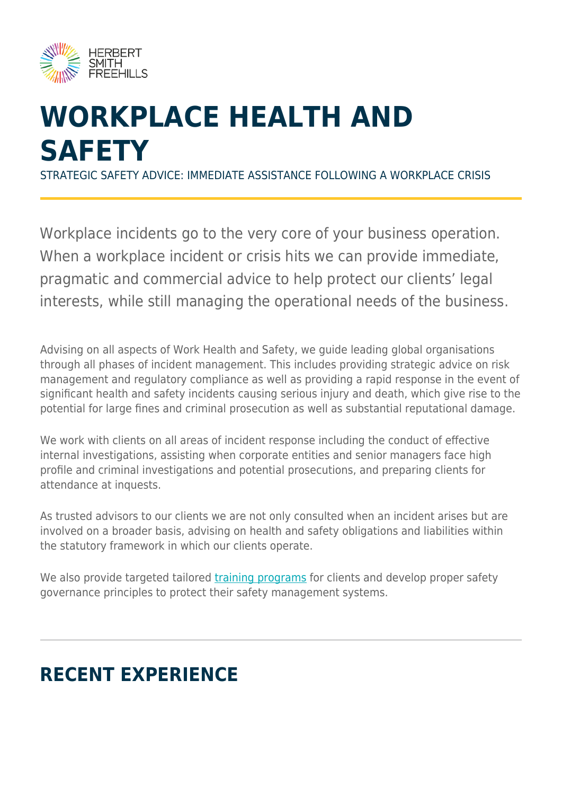

# **WORKPLACE HEALTH AND SAFETY**

STRATEGIC SAFETY ADVICE: IMMEDIATE ASSISTANCE FOLLOWING A WORKPLACE CRISIS

Workplace incidents go to the very core of your business operation. When a workplace incident or crisis hits we can provide immediate, pragmatic and commercial advice to help protect our clients' legal interests, while still managing the operational needs of the business.

Advising on all aspects of Work Health and Safety, we guide leading global organisations through all phases of incident management. This includes providing strategic advice on risk management and regulatory compliance as well as providing a rapid response in the event of significant health and safety incidents causing serious injury and death, which give rise to the potential for large fines and criminal prosecution as well as substantial reputational damage.

We work with clients on all areas of incident response including the conduct of effective internal investigations, assisting when corporate entities and senior managers face high profile and criminal investigations and potential prosecutions, and preparing clients for attendance at inquests.

As trusted advisors to our clients we are not only consulted when an incident arises but are involved on a broader basis, advising on health and safety obligations and liabilities within the statutory framework in which our clients operate.

We also provide targeted tailored [training programs](https://www.herbertsmithfreehills.com/our-expertise/services/workplace-and-employment-law-training) for clients and develop proper safety governance principles to protect their safety management systems.

# **RECENT EXPERIENCE**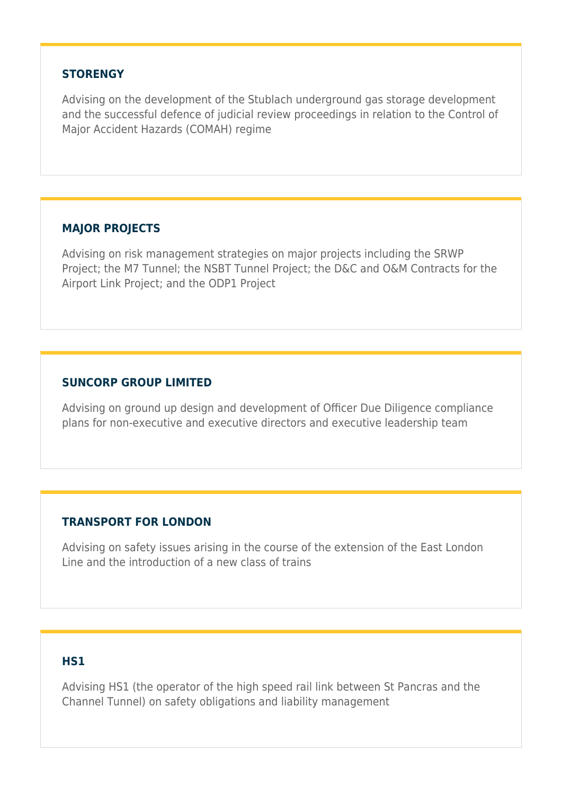#### **STORENGY**

Advising on the development of the Stublach underground gas storage development and the successful defence of judicial review proceedings in relation to the Control of Major Accident Hazards (COMAH) regime

#### **MAJOR PROJECTS**

Advising on risk management strategies on major projects including the SRWP Project; the M7 Tunnel; the NSBT Tunnel Project; the D&C and O&M Contracts for the Airport Link Project; and the ODP1 Project

#### **SUNCORP GROUP LIMITED**

Advising on ground up design and development of Officer Due Diligence compliance plans for non-executive and executive directors and executive leadership team

#### **TRANSPORT FOR LONDON**

Advising on safety issues arising in the course of the extension of the East London Line and the introduction of a new class of trains

#### **HS1**

Advising HS1 (the operator of the high speed rail link between St Pancras and the Channel Tunnel) on safety obligations and liability management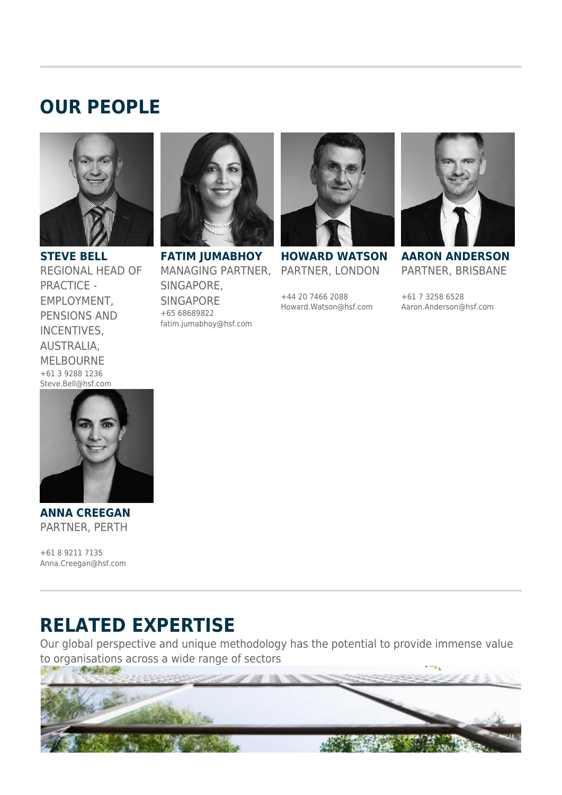## **OUR PEOPLE**



**STEVE BELL** REGIONAL HEAD OF PRACTICE - EMPLOYMENT, PENSIONS AND INCENTIVES, AUSTRALIA, MELBOURNE +61 3 9288 1236 Steve.Bell@hsf.com



**FATIM JUMABHOY** MANAGING PARTNER, SINGAPORE, SINGAPORE +65 68689822 fatim.jumabhoy@hsf.com



**HOWARD WATSON** PARTNER, LONDON

+44 20 7466 2088 Howard.Watson@hsf.com



**AARON ANDERSON** PARTNER, BRISBANE

+61 7 3258 6528 Aaron.Anderson@hsf.com



**ANNA CREEGAN** PARTNER, PERTH

+61 8 9211 7135 Anna.Creegan@hsf.com

## **RELATED EXPERTISE**

Our global perspective and unique methodology has the potential to provide immense value to organisations across a wide range of sectors